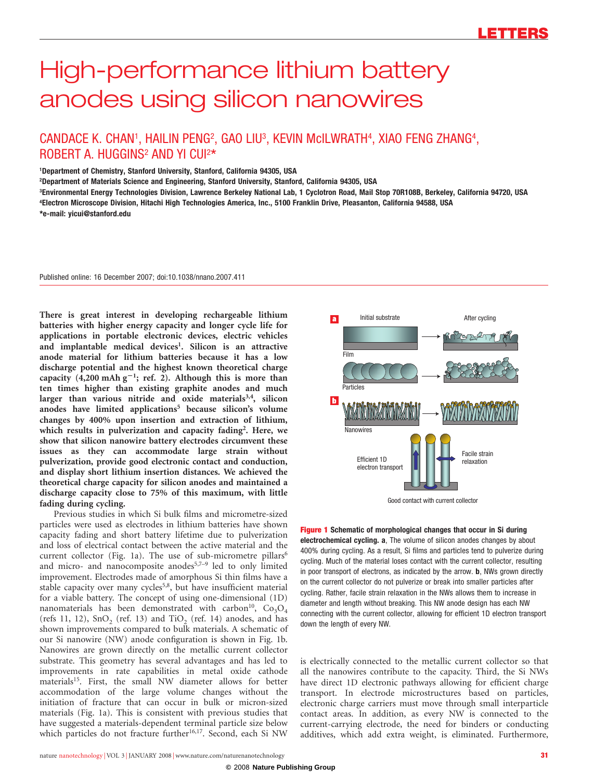# High-performance lithium battery anodes using silicon nanowires

## CANDACE K. CHAN<sup>1</sup>, HAILIN PENG<sup>2</sup>, GAO LIU<sup>3</sup>, KEVIN McILWRATH<sup>4</sup>, XIAO FENG ZHANG<sup>4</sup>, ROBERT A. HUGGINS<sup>2</sup> AND YI CUI<sup>2\*</sup>

1Department of Chemistry, Stanford University, Stanford, California 94305, USA

2Department of Materials Science and Engineering, Stanford University, Stanford, California 94305, USA

3Environmental Energy Technologies Division, Lawrence Berkeley National Lab, 1 Cyclotron Road, Mail Stop 70R108B, Berkeley, California 94720, USA 4Electron Microscope Division, Hitachi High Technologies America, Inc., 5100 Franklin Drive, Pleasanton, California 94588, USA [\\*e-mail: yicui@stanford.edu](mailto:yicui@stanford.edu)

Published online: 16 December 2007; [doi:10.1038/nnano.2007.411](http://www.nature.com/doifinder/10.1038/nnano.2007.411)

There is great interest in developing rechargeable lithium batteries with higher energy capacity and longer cycle life for applications in portable electronic devices, electric vehicles and implantable medical devices<sup>1</sup>. Silicon is an attractive anode material for lithium batteries because it has a low discharge potential and the highest known theoretical charge capacity  $(4,200 \text{ mA} \text{h} \text{ g}^{-1}$ ; ref. 2). Although this is more than ten times higher than existing graphite anodes and much larger than various nitride and oxide materials<sup>3,4</sup>, silicon anodes have limited applications<sup>5</sup> because silicon's volume changes by 400% upon insertion and extraction of lithium, which results in pulverization and capacity fading<sup>2</sup>. Here, we show that silicon nanowire battery electrodes circumvent these issues as they can accommodate large strain without pulverization, provide good electronic contact and conduction, and display short lithium insertion distances. We achieved the theoretical charge capacity for silicon anodes and maintained a discharge capacity close to 75% of this maximum, with little fading during cycling.

Previous studies in which Si bulk films and micrometre-sized particles were used as electrodes in lithium batteries have shown capacity fading and short battery lifetime due to pulverization and loss of electrical contact between the active material and the current collector (Fig. 1a). The use of sub-micrometre pillars<sup>6</sup> and micro- and nanocomposite anodes<sup>5,7-9</sup> led to only limited improvement. Electrodes made of amorphous Si thin films have a stable capacity over many cycles<sup>5,8</sup>, but have insufficient material for a viable battery. The concept of using one-dimensional (1D) nanomaterials has been demonstrated with carbon<sup>10</sup>,  $Co_3O_4$ (refs 11, 12),  $SnO<sub>2</sub>$  (ref. 13) and TiO<sub>2</sub> (ref. 14) anodes, and has shown improvements compared to bulk materials. A schematic of our Si nanowire (NW) anode configuration is shown in Fig. 1b. Nanowires are grown directly on the metallic current collector substrate. This geometry has several advantages and has led to improvements in rate capabilities in metal oxide cathode materials<sup>15</sup>. First, the small NW diameter allows for better accommodation of the large volume changes without the initiation of fracture that can occur in bulk or micron-sized materials (Fig. 1a). This is consistent with previous studies that have suggested a materials-dependent terminal particle size below which particles do not fracture further<sup>16,17</sup>. Second, each Si NW



Good contact with current collector

Figure 1 Schematic of morphological changes that occur in Si during electrochemical cycling. a, The volume of silicon anodes changes by about 400% during cycling. As a result, Si films and particles tend to pulverize during cycling. Much of the material loses contact with the current collector, resulting in poor transport of electrons, as indicated by the arrow. **b**, NWs grown directly on the current collector do not pulverize or break into smaller particles after cycling. Rather, facile strain relaxation in the NWs allows them to increase in diameter and length without breaking. This NW anode design has each NW connecting with the current collector, allowing for efficient 1D electron transport down the length of every NW.

is electrically connected to the metallic current collector so that all the nanowires contribute to the capacity. Third, the Si NWs have direct 1D electronic pathways allowing for efficient charge transport. In electrode microstructures based on particles, electronic charge carriers must move through small interparticle contact areas. In addition, as every NW is connected to the current-carrying electrode, the need for binders or conducting additives, which add extra weight, is eliminated. Furthermore,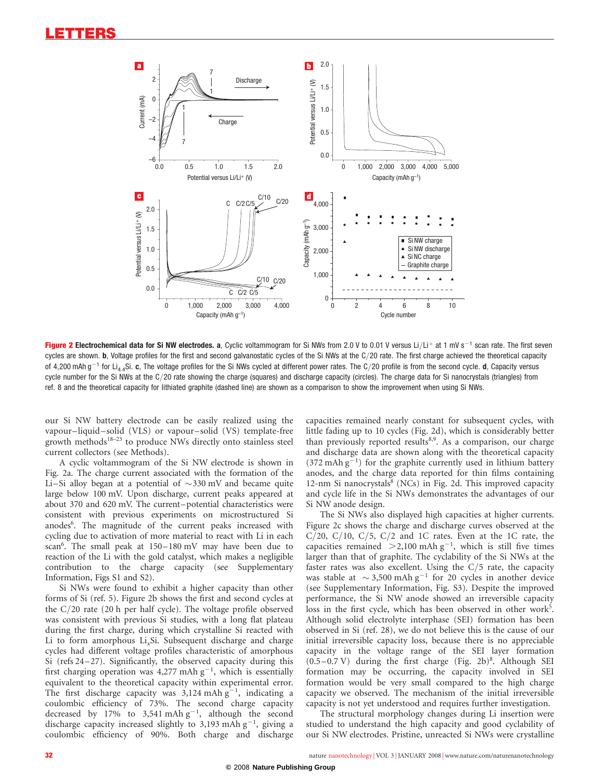

Figure 2 Electrochemical data for Si NW electrodes. a, Cyclic voltammogram for Si NWs from 2.0 V to 0.01 V versus Li/Li+ at 1 mV s<sup>-1</sup> scan rate. The first seven cycles are shown. b, Voltage profiles for the first and second galvanostatic cycles of the Si NWs at the C/20 rate. The first charge achieved the theoretical capacity of 4.200 mAh  $q^{-1}$  for Li<sub>4.4</sub>Si. c, The voltage profiles for the Si NWs cycled at different power rates. The C/20 profile is from the second cycle. d. Capacity versus cycle number for the Si NWs at the C/20 rate showing the charge (squares) and discharge capacity (circles). The charge data for Si nanocrystals (triangles) from ref. 8 and the theoretical capacity for lithiated graphite (dashed line) are shown as a comparison to show the improvement when using Si NWs.

our Si NW battery electrode can be easily realized using the vapour–liquid–solid (VLS) or vapour–solid (VS) template-free growth methods<sup>18–23</sup> to produce NWs directly onto stainless steel current collectors (see [Methods\)](#page-3-0).

A cyclic voltammogram of the Si NW electrode is shown in Fig. 2a. The charge current associated with the formation of the Li–Si alloy began at a potential of  $\sim$ 330 mV and became quite large below 100 mV. Upon discharge, current peaks appeared at about 370 and 620 mV. The current–potential characteristics were consistent with previous experiments on microstructured Si anodes<sup>6</sup>. The magnitude of the current peaks increased with cycling due to activation of more material to react with Li in each scan<sup>6</sup>. The small peak at 150-180 mV may have been due to reaction of the Li with the gold catalyst, which makes a negligible contribution to the charge capacity (see Supplementary Information, Figs S1 and S2).

Si NWs were found to exhibit a higher capacity than other forms of Si (ref. 5). Figure 2b shows the first and second cycles at the C/20 rate (20 h per half cycle). The voltage profile observed was consistent with previous Si studies, with a long flat plateau during the first charge, during which crystalline Si reacted with Li to form amorphous Li<sub>x</sub>Si. Subsequent discharge and charge cycles had different voltage profiles characteristic of amorphous Si (refs 24–27). Significantly, the observed capacity during this first charging operation was 4,277 mAh  $g^{-1}$ , which is essentially equivalent to the theoretical capacity within experimental error. The first discharge capacity was  $3,124$  mAh  $g^{-1}$ , indicating a coulombic efficiency of 73%. The second charge capacity decreased by 17% to 3,541 mAh  $g^{-1}$ , although the second discharge capacity increased slightly to 3,193 mAh  $g^{-1}$ , giving a coulombic efficiency of 90%. Both charge and discharge

capacities remained nearly constant for subsequent cycles, with little fading up to 10 cycles (Fig. 2d), which is considerably better than previously reported results<sup>8,9</sup>. As a comparison, our charge and discharge data are shown along with the theoretical capacity  $(372 \text{ mAh g}^{-1})$  for the graphite currently used in lithium battery anodes, and the charge data reported for thin films containing 12-nm Si nanocrystals $8$  (NCs) in Fig. 2d. This improved capacity and cycle life in the Si NWs demonstrates the advantages of our Si NW anode design.

The Si NWs also displayed high capacities at higher currents. Figure 2c shows the charge and discharge curves observed at the C/20, C/10, C/5, C/2 and 1C rates. Even at the 1C rate, the capacities remained  $>2,100$  mAh g<sup>-1</sup>, which is still five times larger than that of graphite. The cyclability of the Si NWs at the faster rates was also excellent. Using the  $C/5$  rate, the capacity was stable at  $\sim$  3,500 mAh g<sup>-1</sup> for 20 cycles in another device (see Supplementary Information, Fig. S3). Despite the improved performance, the Si NW anode showed an irreversible capacity loss in the first cycle, which has been observed in other work<sup>5</sup>. Although solid electrolyte interphase (SEI) formation has been observed in Si (ref. 28), we do not believe this is the cause of our initial irreversible capacity loss, because there is no appreciable capacity in the voltage range of the SEI layer formation  $(0.5-0.7 \text{ V})$  during the first charge (Fig. 2b)<sup>8</sup>. Although SEI formation may be occurring, the capacity involved in SEI formation would be very small compared to the high charge capacity we observed. The mechanism of the initial irreversible capacity is not yet understood and requires further investigation.

The structural morphology changes during Li insertion were studied to understand the high capacity and good cyclability of our Si NW electrodes. Pristine, unreacted Si NWs were crystalline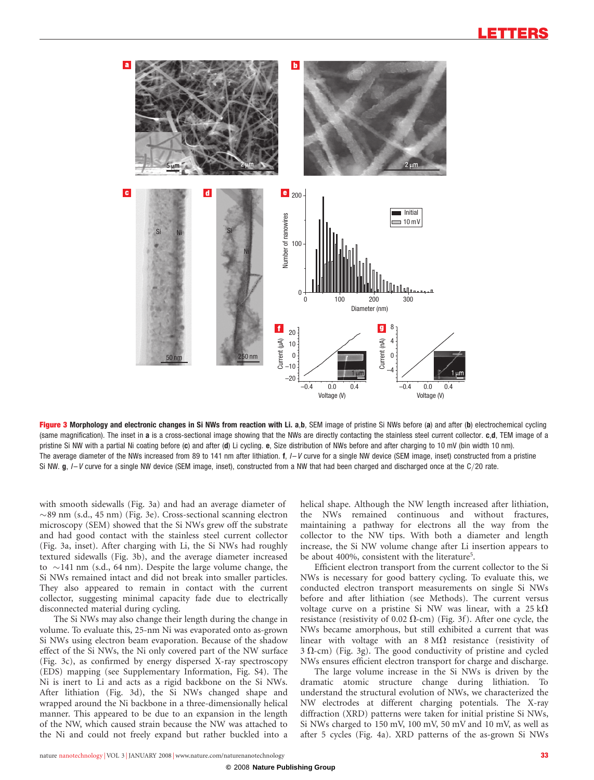

Figure 3 Morphology and electronic changes in Si NWs from reaction with Li. a,b, SEM image of pristine Si NWs before (a) and after (b) electrochemical cycling (same magnification). The inset in a is a cross-sectional image showing that the NWs are directly contacting the stainless steel current collector. c,d, TEM image of a pristine Si NW with a partial Ni coating before (c) and after (d) Li cycling. e, Size distribution of NWs before and after charging to 10 mV (bin width 10 nm). The average diameter of the NWs increased from 89 to 141 nm after lithiation.  $f$ ,  $I-V$  curve for a single NW device (SEM image, inset) constructed from a pristine Si NW.  $g$ ,  $I-V$  curve for a single NW device (SEM image, inset), constructed from a NW that had been charged and discharged once at the C/20 rate.

with smooth sidewalls (Fig. 3a) and had an average diameter of  $\sim$ 89 nm (s.d., 45 nm) (Fig. 3e). Cross-sectional scanning electron microscopy (SEM) showed that the Si NWs grew off the substrate and had good contact with the stainless steel current collector (Fig. 3a, inset). After charging with Li, the Si NWs had roughly textured sidewalls (Fig. 3b), and the average diameter increased to  $\sim$ 141 nm (s.d., 64 nm). Despite the large volume change, the Si NWs remained intact and did not break into smaller particles. They also appeared to remain in contact with the current collector, suggesting minimal capacity fade due to electrically disconnected material during cycling.

The Si NWs may also change their length during the change in volume. To evaluate this, 25-nm Ni was evaporated onto as-grown Si NWs using electron beam evaporation. Because of the shadow effect of the Si NWs, the Ni only covered part of the NW surface (Fig. 3c), as confirmed by energy dispersed X-ray spectroscopy (EDS) mapping (see Supplementary Information, Fig. S4). The Ni is inert to Li and acts as a rigid backbone on the Si NWs. After lithiation (Fig. 3d), the Si NWs changed shape and wrapped around the Ni backbone in a three-dimensionally helical manner. This appeared to be due to an expansion in the length of the NW, which caused strain because the NW was attached to the Ni and could not freely expand but rather buckled into a

helical shape. Although the NW length increased after lithiation, the NWs remained continuous and without fractures, maintaining a pathway for electrons all the way from the collector to the NW tips. With both a diameter and length increase, the Si NW volume change after Li insertion appears to be about 400%, consistent with the literature<sup>5</sup>.

Efficient electron transport from the current collector to the Si NWs is necessary for good battery cycling. To evaluate this, we conducted electron transport measurements on single Si NWs before and after lithiation (see [Methods\)](#page-3-0). The current versus voltage curve on a pristine Si NW was linear, with a  $25 \text{ k}\Omega$ resistance (resistivity of 0.02  $\Omega$ -cm) (Fig. 3f). After one cycle, the NWs became amorphous, but still exhibited a current that was linear with voltage with an  $8 \text{ M}\Omega$  resistance (resistivity of  $3 \Omega$ -cm) (Fig. 3g). The good conductivity of pristine and cycled NWs ensures efficient electron transport for charge and discharge.

The large volume increase in the Si NWs is driven by the dramatic atomic structure change during lithiation. To understand the structural evolution of NWs, we characterized the NW electrodes at different charging potentials. The X-ray diffraction (XRD) patterns were taken for initial pristine Si NWs, Si NWs charged to 150 mV, 100 mV, 50 mV and 10 mV, as well as after 5 cycles (Fig. 4a). XRD patterns of the as-grown Si NWs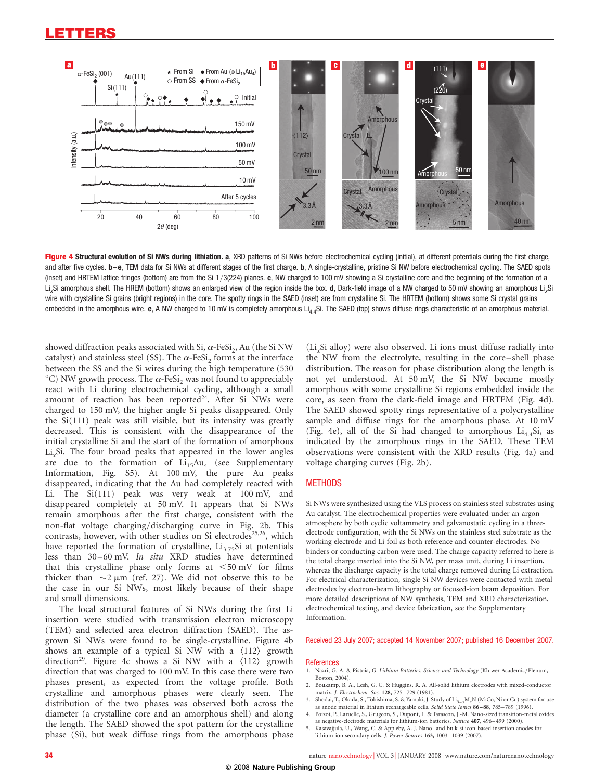### <span id="page-3-0"></span>LETTERS



Figure 4 Structural evolution of Si NWs during lithiation. a, XRD patterns of Si NWs before electrochemical cycling (initial), at different potentials during the first charge, and after five cycles. **b–e.** TEM data for Si NWs at different stages of the first charge. **b**. A single-crystalline, pristine Si NW before electrochemical cycling. The SAED spots (inset) and HRTEM lattice fringes (bottom) are from the Si 1/3(224) planes. c, NW charged to 100 mV showing a Si crystalline core and the beginning of the formation of a Li.Si amorphous shell. The HREM (bottom) shows an enlarged view of the region inside the box. d. Dark-field image of a NW charged to 50 mV showing an amorphous Li.Si wire with crystalline Si grains (bright regions) in the core. The spotty rings in the SAED (inset) are from crystalline Si. The HRTEM (bottom) shows some Si crystal grains embedded in the amorphous wire. e, A NW charged to 10 mV is completely amorphous Li<sub>4.4</sub>Si. The SAED (top) shows diffuse rings characteristic of an amorphous material.

showed diffraction peaks associated with Si,  $\alpha$ -FeSi<sub>2</sub>, Au (the Si NW catalyst) and stainless steel (SS). The  $\alpha$ -FeSi<sub>2</sub> forms at the interface between the SS and the Si wires during the high temperature (530 °C) NW growth process. The  $\alpha$ -FeSi<sub>2</sub> was not found to appreciably react with Li during electrochemical cycling, although a small amount of reaction has been reported<sup>24</sup>. After Si NWs were charged to 150 mV, the higher angle Si peaks disappeared. Only the Si(111) peak was still visible, but its intensity was greatly decreased. This is consistent with the disappearance of the initial crystalline Si and the start of the formation of amorphous Li<sub>s</sub>Si. The four broad peaks that appeared in the lower angles are due to the formation of  $Li_{15}Au_4$  (see Supplementary Information, Fig. S5). At 100 mV, the pure Au peaks disappeared, indicating that the Au had completely reacted with Li. The Si(111) peak was very weak at 100 mV, and disappeared completely at 50 mV. It appears that Si NWs remain amorphous after the first charge, consistent with the non-flat voltage charging/discharging curve in Fig. 2b. This contrasts, however, with other studies on Si electrodes<sup>25,26</sup>, which have reported the formation of crystalline,  $Li_{3.75}Si$  at potentials less than 30 –60 mV. In situ XRD studies have determined that this crystalline phase only forms at  $\leq 50$  mV for films thicker than  $\sim$ 2  $\mu$ m (ref. 27). We did not observe this to be the case in our Si NWs, most likely because of their shape and small dimensions.

The local structural features of Si NWs during the first Li insertion were studied with transmission electron microscopy (TEM) and selected area electron diffraction (SAED). The asgrown Si NWs were found to be single-crystalline. Figure 4b shows an example of a typical Si NW with a  $\langle 112 \rangle$  growth direction<sup>29</sup>. Figure 4c shows a Si NW with a  $\langle 112 \rangle$  growth direction that was charged to 100 mV. In this case there were two phases present, as expected from the voltage profile. Both crystalline and amorphous phases were clearly seen. The distribution of the two phases was observed both across the diameter (a crystalline core and an amorphous shell) and along the length. The SAED showed the spot pattern for the crystalline phase (Si), but weak diffuse rings from the amorphous phase

(Li<sub>x</sub>Si alloy) were also observed. Li ions must diffuse radially into the NW from the electrolyte, resulting in the core– shell phase distribution. The reason for phase distribution along the length is not yet understood. At 50 mV, the Si NW became mostly amorphous with some crystalline Si regions embedded inside the core, as seen from the dark-field image and HRTEM (Fig. 4d). The SAED showed spotty rings representative of a polycrystalline sample and diffuse rings for the amorphous phase. At 10 mV (Fig. 4e), all of the Si had changed to amorphous  $Li<sub>4.4</sub>Si$ , as indicated by the amorphous rings in the SAED. These TEM observations were consistent with the XRD results (Fig. 4a) and voltage charging curves (Fig. 2b).

#### **METHODS**

Si NWs were synthesized using the VLS process on stainless steel substrates using Au catalyst. The electrochemical properties were evaluated under an argon atmosphere by both cyclic voltammetry and galvanostatic cycling in a threeelectrode configuration, with the Si NWs on the stainless steel substrate as the working electrode and Li foil as both reference and counter-electrodes. No binders or conducting carbon were used. The charge capacity referred to here is the total charge inserted into the Si NW, per mass unit, during Li insertion, whereas the discharge capacity is the total charge removed during Li extraction. For electrical characterization, single Si NW devices were contacted with metal electrodes by electron-beam lithography or focused-ion beam deposition. For more detailed descriptions of NW synthesis, TEM and XRD characterization, electrochemical testing, and device fabrication, see the Supplementary Information.

#### Received 23 July 2007; accepted 14 November 2007; published 16 December 2007.

#### **References**

- 1. Nazri, G.-A. & Pistoia, G. Lithium Batteries: Science and Technology (Kluwer Academic/Plenum, Boston, 2004).
- 2. Boukamp, B. A., Lesh, G. C. & Huggins, R. A. All-solid lithium electrodes with mixed-conductor matrix. *J. Electrochem. Soc.* **128**, 725–729 (1981).
- 3. Shodai, T., Okada, S., Tobishima, S. & Yamaki, J. Study of  $Li_{3-x}M_xN$  (M:Co, Ni or Cu) system for use s anode material in lithium rechargeable cells. Solid State Ionics 86-88, 785-789 (1996).
- 4. Poizot, P., Laruelle, S., Grugeon, S., Dupont, L. & Tarascon, J.-M. Nano-sized transition-metal oxides as negative-electrode materials for lithium-ion batteries. Nature 407, 496–499 (2000).
- 5. Kasavajjula, U., Wang, C. & Appleby, A. J. Nano- and bulk-silicon-based insertion anodes for lithium-ion secondary cells. J. Power Sources 163, 1003 –1039 (2007).